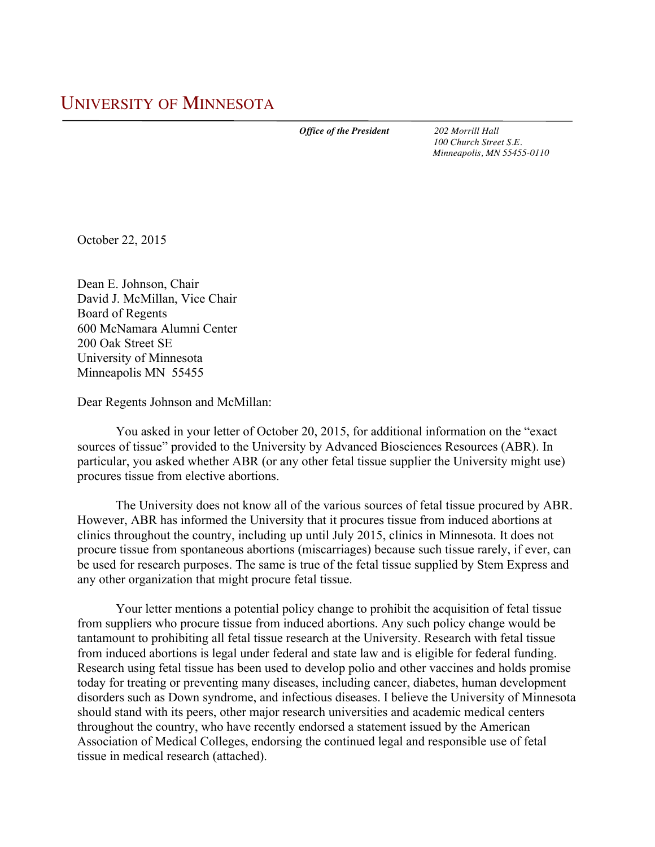*Office of the President 202 Morrill Hall*

 *100 Church Street S.E. Minneapolis, MN 55455-0110*

October 22, 2015

Dean E. Johnson, Chair David J. McMillan, Vice Chair Board of Regents 600 McNamara Alumni Center 200 Oak Street SE University of Minnesota Minneapolis MN 55455

Dear Regents Johnson and McMillan:

You asked in your letter of October 20, 2015, for additional information on the "exact sources of tissue" provided to the University by Advanced Biosciences Resources (ABR). In particular, you asked whether ABR (or any other fetal tissue supplier the University might use) procures tissue from elective abortions.

The University does not know all of the various sources of fetal tissue procured by ABR. However, ABR has informed the University that it procures tissue from induced abortions at clinics throughout the country, including up until July 2015, clinics in Minnesota. It does not procure tissue from spontaneous abortions (miscarriages) because such tissue rarely, if ever, can be used for research purposes. The same is true of the fetal tissue supplied by Stem Express and any other organization that might procure fetal tissue.

Your letter mentions a potential policy change to prohibit the acquisition of fetal tissue from suppliers who procure tissue from induced abortions. Any such policy change would be tantamount to prohibiting all fetal tissue research at the University. Research with fetal tissue from induced abortions is legal under federal and state law and is eligible for federal funding. Research using fetal tissue has been used to develop polio and other vaccines and holds promise today for treating or preventing many diseases, including cancer, diabetes, human development disorders such as Down syndrome, and infectious diseases. I believe the University of Minnesota should stand with its peers, other major research universities and academic medical centers throughout the country, who have recently endorsed a statement issued by the American Association of Medical Colleges, endorsing the continued legal and responsible use of fetal tissue in medical research (attached).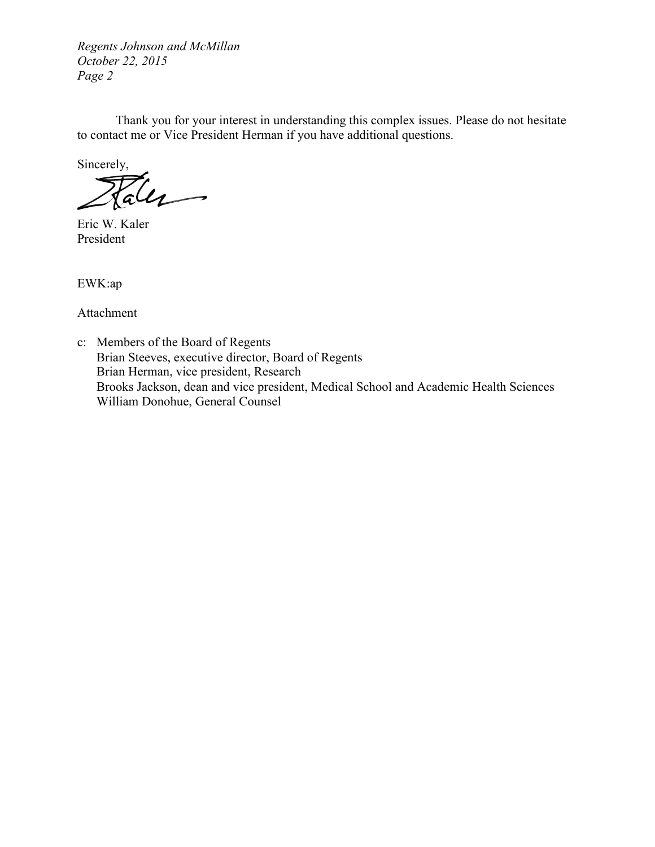*Regents Johnson and McMillan October 22, 2015 Page 2*

Thank you for your interest in understanding this complex issues. Please do not hesitate to contact me or Vice President Herman if you have additional questions.

Sincerely,

alle

Eric W. Kaler President

EWK:ap

Attachment

c: Members of the Board of Regents Brian Steeves, executive director, Board of Regents Brian Herman, vice president, Research Brooks Jackson, dean and vice president, Medical School and Academic Health Sciences William Donohue, General Counsel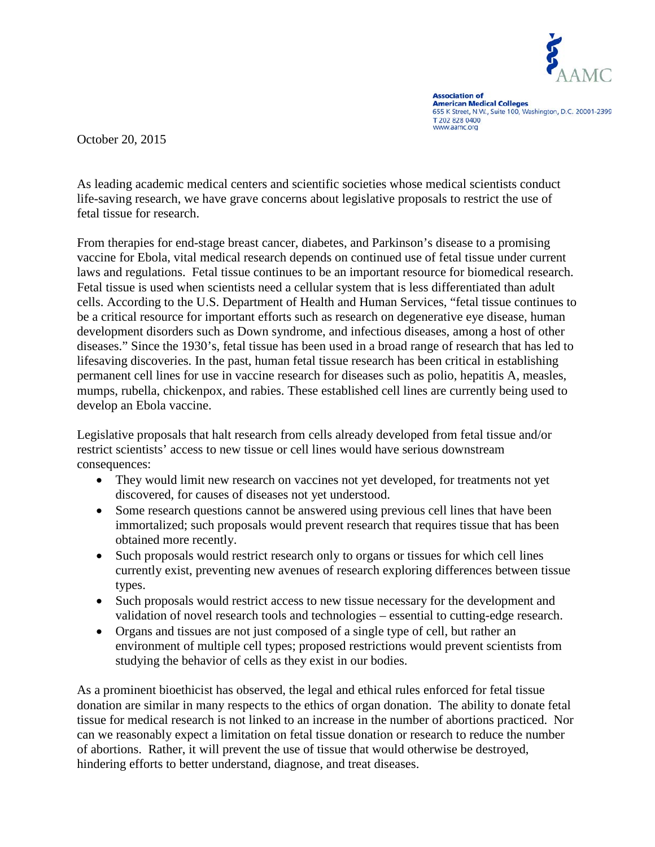

**Association of** American Medical Colleges<br>655 K Street, N.W., Suite 100, Washington, D.C. 20001-2399 T 202 828 0400 www.aamc.org

October 20, 2015

As leading academic medical centers and scientific societies whose medical scientists conduct life-saving research, we have grave concerns about legislative proposals to restrict the use of fetal tissue for research.

From therapies for end-stage breast cancer, diabetes, and Parkinson's disease to a promising vaccine for Ebola, vital medical research depends on continued use of fetal tissue under current laws and regulations. Fetal tissue continues to be an important resource for biomedical research. Fetal tissue is used when scientists need a cellular system that is less differentiated than adult cells. According to the U.S. Department of Health and Human Services, "fetal tissue continues to be a critical resource for important efforts such as research on degenerative eye disease, human development disorders such as Down syndrome, and infectious diseases, among a host of other diseases." Since the 1930's, fetal tissue has been used in a broad range of research that has led to lifesaving discoveries. In the past, human fetal tissue research has been critical in establishing permanent cell lines for use in vaccine research for diseases such as polio, hepatitis A, measles, mumps, rubella, chickenpox, and rabies. These established cell lines are currently being used to develop an Ebola vaccine.

Legislative proposals that halt research from cells already developed from fetal tissue and/or restrict scientists' access to new tissue or cell lines would have serious downstream consequences:

- They would limit new research on vaccines not yet developed, for treatments not yet discovered, for causes of diseases not yet understood.
- Some research questions cannot be answered using previous cell lines that have been immortalized; such proposals would prevent research that requires tissue that has been obtained more recently.
- Such proposals would restrict research only to organs or tissues for which cell lines currently exist, preventing new avenues of research exploring differences between tissue types.
- Such proposals would restrict access to new tissue necessary for the development and validation of novel research tools and technologies – essential to cutting-edge research.
- Organs and tissues are not just composed of a single type of cell, but rather an environment of multiple cell types; proposed restrictions would prevent scientists from studying the behavior of cells as they exist in our bodies.

As a prominent bioethicist has observed, the legal and ethical rules enforced for fetal tissue donation are similar in many respects to the ethics of organ donation. The ability to donate fetal tissue for medical research is not linked to an increase in the number of abortions practiced. Nor can we reasonably expect a limitation on fetal tissue donation or research to reduce the number of abortions. Rather, it will prevent the use of tissue that would otherwise be destroyed, hindering efforts to better understand, diagnose, and treat diseases.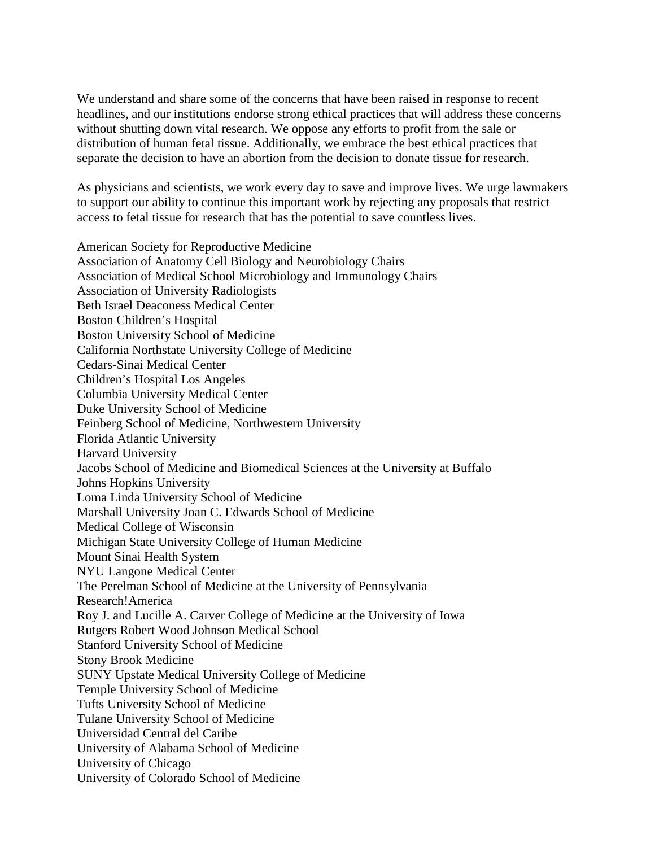We understand and share some of the concerns that have been raised in response to recent headlines, and our institutions endorse strong ethical practices that will address these concerns without shutting down vital research. We oppose any efforts to profit from the sale or distribution of human fetal tissue. Additionally, we embrace the best ethical practices that separate the decision to have an abortion from the decision to donate tissue for research.

As physicians and scientists, we work every day to save and improve lives. We urge lawmakers to support our ability to continue this important work by rejecting any proposals that restrict access to fetal tissue for research that has the potential to save countless lives.

American Society for Reproductive Medicine Association of Anatomy Cell Biology and Neurobiology Chairs Association of Medical School Microbiology and Immunology Chairs Association of University Radiologists Beth Israel Deaconess Medical Center Boston Children's Hospital Boston University School of Medicine California Northstate University College of Medicine Cedars-Sinai Medical Center Children's Hospital Los Angeles Columbia University Medical Center Duke University School of Medicine Feinberg School of Medicine, Northwestern University Florida Atlantic University Harvard University Jacobs School of Medicine and Biomedical Sciences at the University at Buffalo Johns Hopkins University Loma Linda University School of Medicine Marshall University Joan C. Edwards School of Medicine Medical College of Wisconsin Michigan State University College of Human Medicine Mount Sinai Health System NYU Langone Medical Center The Perelman School of Medicine at the University of Pennsylvania Research!America Roy J. and Lucille A. Carver College of Medicine at the University of Iowa Rutgers Robert Wood Johnson Medical School Stanford University School of Medicine Stony Brook Medicine SUNY Upstate Medical University College of Medicine Temple University School of Medicine Tufts University School of Medicine Tulane University School of Medicine Universidad Central del Caribe University of Alabama School of Medicine University of Chicago University of Colorado School of Medicine